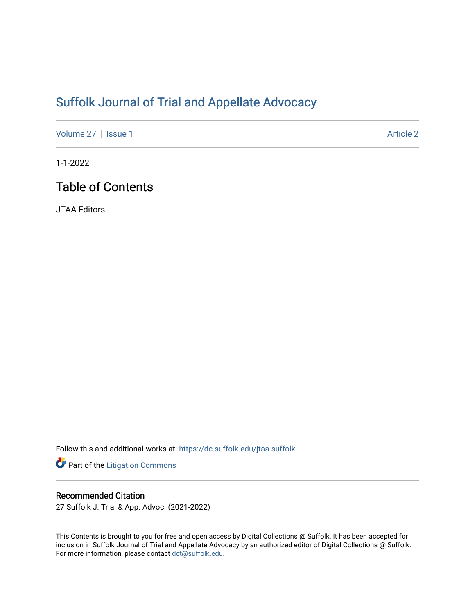# [Suffolk Journal of Trial and Appellate Advocacy](https://dc.suffolk.edu/jtaa-suffolk)

[Volume 27](https://dc.suffolk.edu/jtaa-suffolk/vol27) | [Issue 1](https://dc.suffolk.edu/jtaa-suffolk/vol27/iss1) Article 2

1-1-2022

# Table of Contents

JTAA Editors

Follow this and additional works at: [https://dc.suffolk.edu/jtaa-suffolk](https://dc.suffolk.edu/jtaa-suffolk?utm_source=dc.suffolk.edu%2Fjtaa-suffolk%2Fvol27%2Fiss1%2F2&utm_medium=PDF&utm_campaign=PDFCoverPages) 

Part of the [Litigation Commons](http://network.bepress.com/hgg/discipline/910?utm_source=dc.suffolk.edu%2Fjtaa-suffolk%2Fvol27%2Fiss1%2F2&utm_medium=PDF&utm_campaign=PDFCoverPages)

#### Recommended Citation

27 Suffolk J. Trial & App. Advoc. (2021-2022)

This Contents is brought to you for free and open access by Digital Collections @ Suffolk. It has been accepted for inclusion in Suffolk Journal of Trial and Appellate Advocacy by an authorized editor of Digital Collections @ Suffolk. For more information, please contact [dct@suffolk.edu](mailto:dct@suffolk.edu).